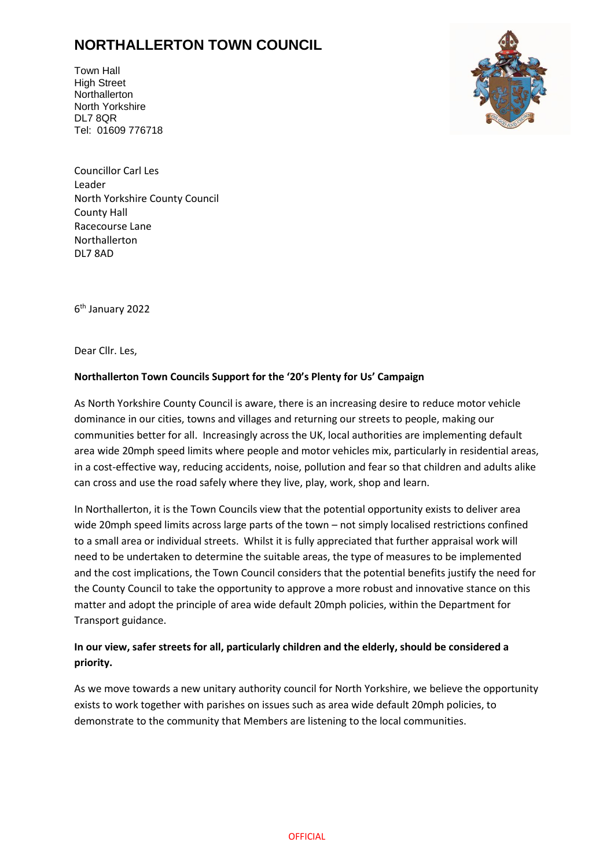## **NORTHALLERTON TOWN COUNCIL**

Town Hall High Street **Northallerton** North Yorkshire DL7 8QR Tel: 01609 776718



Councillor Carl Les Leader North Yorkshire County Council County Hall Racecourse Lane Northallerton DL7 8AD

6 th January 2022

Dear Cllr. Les,

## **Northallerton Town Councils Support for the '20's Plenty for Us' Campaign**

As North Yorkshire County Council is aware, there is an increasing desire to reduce motor vehicle dominance in our cities, towns and villages and returning our streets to people, making our communities better for all. Increasingly across the UK, local authorities are implementing default area wide 20mph speed limits where people and motor vehicles mix, particularly in residential areas, in a cost-effective way, reducing accidents, noise, pollution and fear so that children and adults alike can cross and use the road safely where they live, play, work, shop and learn.

In Northallerton, it is the Town Councils view that the potential opportunity exists to deliver area wide 20mph speed limits across large parts of the town – not simply localised restrictions confined to a small area or individual streets. Whilst it is fully appreciated that further appraisal work will need to be undertaken to determine the suitable areas, the type of measures to be implemented and the cost implications, the Town Council considers that the potential benefits justify the need for the County Council to take the opportunity to approve a more robust and innovative stance on this matter and adopt the principle of area wide default 20mph policies, within the Department for Transport guidance.

## **In our view, safer streets for all, particularly children and the elderly, should be considered a priority.**

As we move towards a new unitary authority council for North Yorkshire, we believe the opportunity exists to work together with parishes on issues such as area wide default 20mph policies, to demonstrate to the community that Members are listening to the local communities.